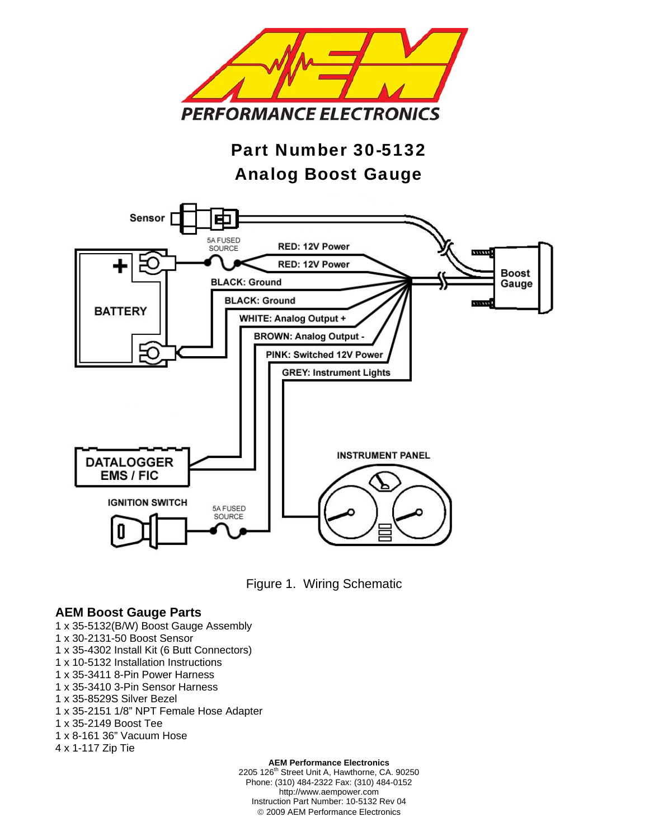

# Part Number 30-5132 Analog Boost Gauge





#### **AEM Boost Gauge Parts**

- 1 x 35-5132(B/W) Boost Gauge Assembly
- 1 x 30-2131-50 Boost Sensor
- 1 x 35-4302 Install Kit (6 Butt Connectors)
- 1 x 10-5132 Installation Instructions
- 1 x 35-3411 8-Pin Power Harness
- 1 x 35-3410 3-Pin Sensor Harness
- 1 x 35-8529S Silver Bezel
- 1 x 35-2151 1/8" NPT Female Hose Adapter
- 1 x 35-2149 Boost Tee
- 1 x 8-161 36" Vacuum Hose
- 4 x 1-117 Zip Tie

**AEM Performance Electronics** 

2205 126<sup>th</sup> Street Unit A, Hawthorne, CA. 90250 Phone: (310) 484-2322 Fax: (310) 484-0152 http://www.aempower.com Instruction Part Number: 10-5132 Rev 04 © 2009 AEM Performance Electronics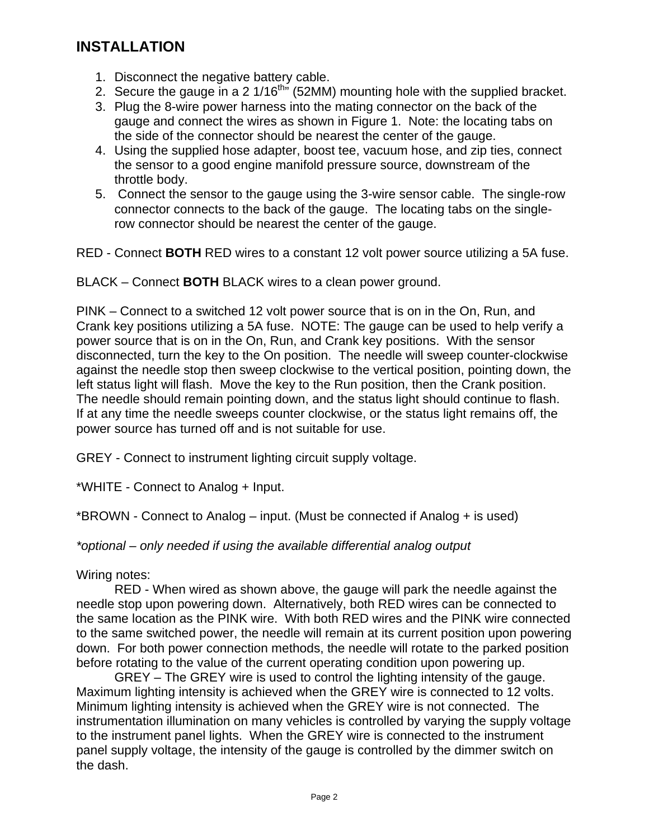## **INSTALLATION**

- 1. Disconnect the negative battery cable.
- 2. Secure the gauge in a 2  $1/16^{\text{th}}$  (52MM) mounting hole with the supplied bracket.
- 3. Plug the 8-wire power harness into the mating connector on the back of the gauge and connect the wires as shown in Figure 1. Note: the locating tabs on the side of the connector should be nearest the center of the gauge.
- 4. Using the supplied hose adapter, boost tee, vacuum hose, and zip ties, connect the sensor to a good engine manifold pressure source, downstream of the throttle body.
- 5. Connect the sensor to the gauge using the 3-wire sensor cable. The single-row connector connects to the back of the gauge. The locating tabs on the singlerow connector should be nearest the center of the gauge.

RED - Connect **BOTH** RED wires to a constant 12 volt power source utilizing a 5A fuse.

BLACK – Connect **BOTH** BLACK wires to a clean power ground.

PINK – Connect to a switched 12 volt power source that is on in the On, Run, and Crank key positions utilizing a 5A fuse. NOTE: The gauge can be used to help verify a power source that is on in the On, Run, and Crank key positions. With the sensor disconnected, turn the key to the On position. The needle will sweep counter-clockwise against the needle stop then sweep clockwise to the vertical position, pointing down, the left status light will flash. Move the key to the Run position, then the Crank position. The needle should remain pointing down, and the status light should continue to flash. If at any time the needle sweeps counter clockwise, or the status light remains off, the power source has turned off and is not suitable for use.

GREY - Connect to instrument lighting circuit supply voltage.

\*WHITE - Connect to Analog + Input.

\*BROWN - Connect to Analog – input. (Must be connected if Analog + is used)

*\*optional – only needed if using the available differential analog output* 

Wiring notes:

 RED - When wired as shown above, the gauge will park the needle against the needle stop upon powering down. Alternatively, both RED wires can be connected to the same location as the PINK wire. With both RED wires and the PINK wire connected to the same switched power, the needle will remain at its current position upon powering down. For both power connection methods, the needle will rotate to the parked position before rotating to the value of the current operating condition upon powering up.

 GREY – The GREY wire is used to control the lighting intensity of the gauge. Maximum lighting intensity is achieved when the GREY wire is connected to 12 volts. Minimum lighting intensity is achieved when the GREY wire is not connected. The instrumentation illumination on many vehicles is controlled by varying the supply voltage to the instrument panel lights. When the GREY wire is connected to the instrument panel supply voltage, the intensity of the gauge is controlled by the dimmer switch on the dash.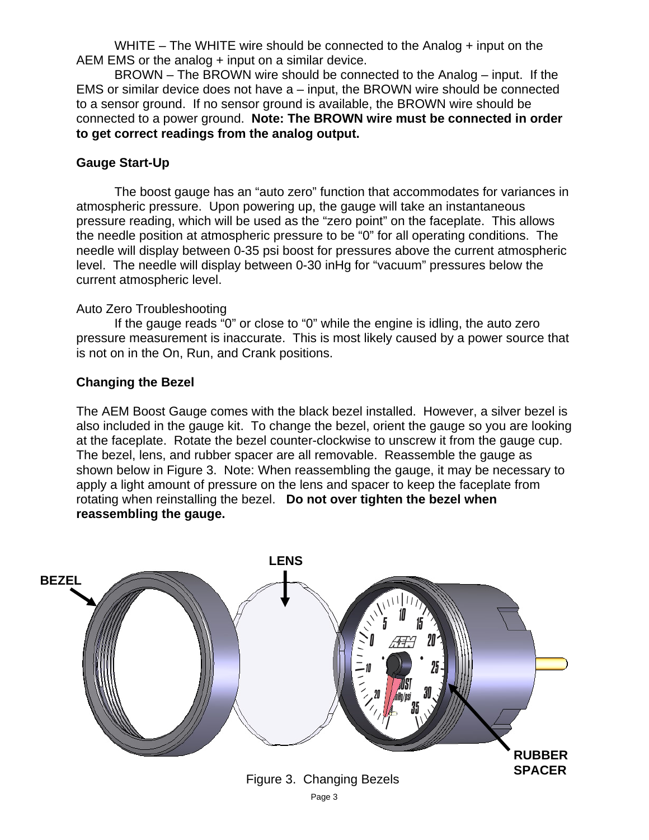WHITE – The WHITE wire should be connected to the Analog  $+$  input on the AEM EMS or the analog + input on a similar device.

 BROWN – The BROWN wire should be connected to the Analog – input. If the EMS or similar device does not have a – input, the BROWN wire should be connected to a sensor ground. If no sensor ground is available, the BROWN wire should be connected to a power ground. **Note: The BROWN wire must be connected in order to get correct readings from the analog output.**

### **Gauge Start-Up**

 The boost gauge has an "auto zero" function that accommodates for variances in atmospheric pressure. Upon powering up, the gauge will take an instantaneous pressure reading, which will be used as the "zero point" on the faceplate. This allows the needle position at atmospheric pressure to be "0" for all operating conditions. The needle will display between 0-35 psi boost for pressures above the current atmospheric level. The needle will display between 0-30 inHg for "vacuum" pressures below the current atmospheric level.

#### Auto Zero Troubleshooting

 If the gauge reads "0" or close to "0" while the engine is idling, the auto zero pressure measurement is inaccurate. This is most likely caused by a power source that is not on in the On, Run, and Crank positions.

#### **Changing the Bezel**

The AEM Boost Gauge comes with the black bezel installed. However, a silver bezel is also included in the gauge kit. To change the bezel, orient the gauge so you are looking at the faceplate. Rotate the bezel counter-clockwise to unscrew it from the gauge cup. The bezel, lens, and rubber spacer are all removable. Reassemble the gauge as shown below in Figure 3. Note: When reassembling the gauge, it may be necessary to apply a light amount of pressure on the lens and spacer to keep the faceplate from rotating when reinstalling the bezel. **Do not over tighten the bezel when reassembling the gauge.**

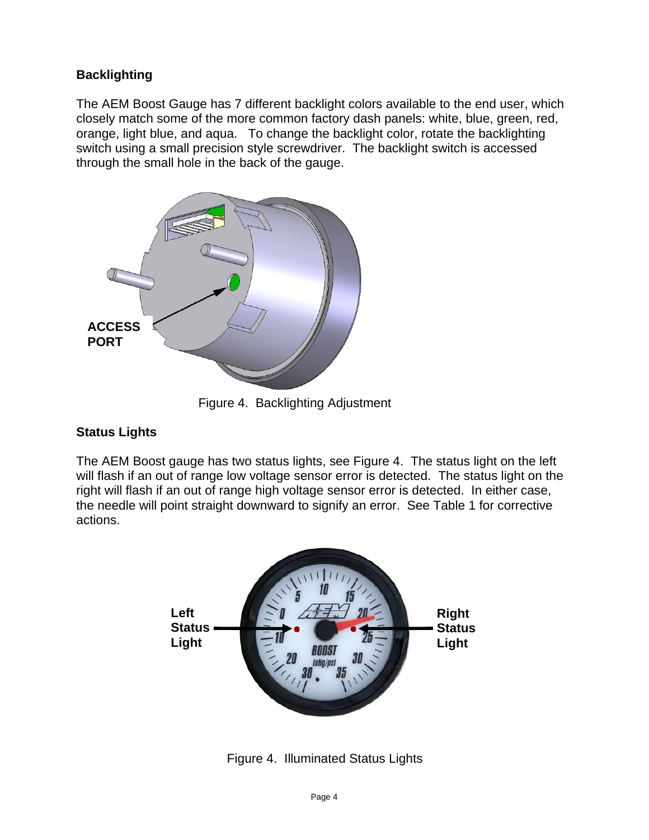### **Backlighting**

The AEM Boost Gauge has 7 different backlight colors available to the end user, which closely match some of the more common factory dash panels: white, blue, green, red, orange, light blue, and aqua. To change the backlight color, rotate the backlighting switch using a small precision style screwdriver. The backlight switch is accessed through the small hole in the back of the gauge.



Figure 4. Backlighting Adjustment

### **Status Lights**

The AEM Boost gauge has two status lights, see Figure 4. The status light on the left will flash if an out of range low voltage sensor error is detected. The status light on the right will flash if an out of range high voltage sensor error is detected. In either case, the needle will point straight downward to signify an error. See Table 1 for corrective actions.



Figure 4. Illuminated Status Lights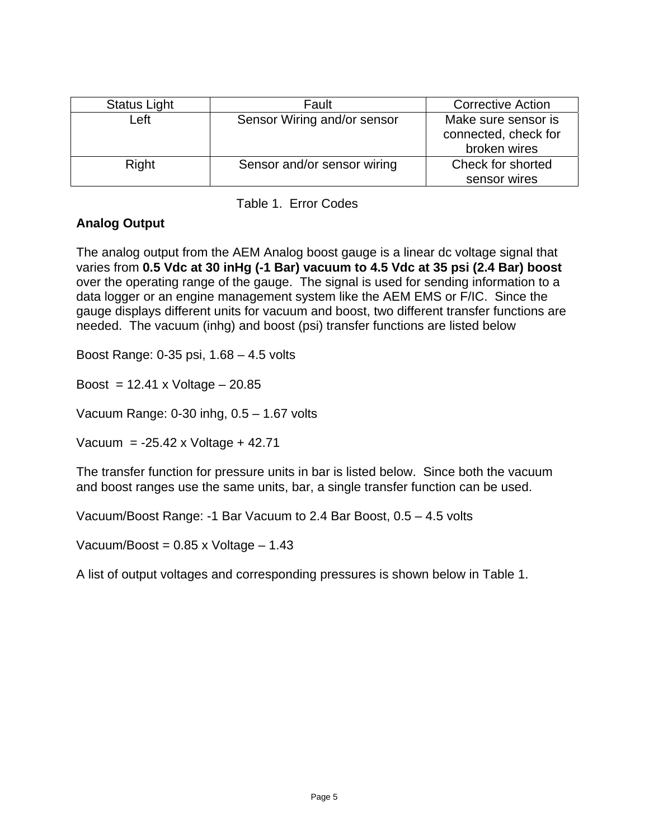| Status Light | Fault                       | <b>Corrective Action</b> |
|--------------|-----------------------------|--------------------------|
| Left         | Sensor Wiring and/or sensor | Make sure sensor is      |
|              |                             | connected, check for     |
|              |                             | broken wires             |
| Right        | Sensor and/or sensor wiring | Check for shorted        |
|              |                             | sensor wires             |

Table 1. Error Codes

### **Analog Output**

The analog output from the AEM Analog boost gauge is a linear dc voltage signal that varies from **0.5 Vdc at 30 inHg (-1 Bar) vacuum to 4.5 Vdc at 35 psi (2.4 Bar) boost** over the operating range of the gauge. The signal is used for sending information to a data logger or an engine management system like the AEM EMS or F/IC. Since the gauge displays different units for vacuum and boost, two different transfer functions are needed. The vacuum (inhg) and boost (psi) transfer functions are listed below

Boost Range: 0-35 psi, 1.68 – 4.5 volts

Boost =  $12.41$  x Voltage  $-20.85$ 

Vacuum Range: 0-30 inhg, 0.5 – 1.67 volts

Vacuum = -25.42 x Voltage + 42.71

The transfer function for pressure units in bar is listed below. Since both the vacuum and boost ranges use the same units, bar, a single transfer function can be used.

Vacuum/Boost Range: -1 Bar Vacuum to 2.4 Bar Boost, 0.5 – 4.5 volts

Vacuum/Boost =  $0.85 \times$  Voltage  $-1.43$ 

A list of output voltages and corresponding pressures is shown below in Table 1.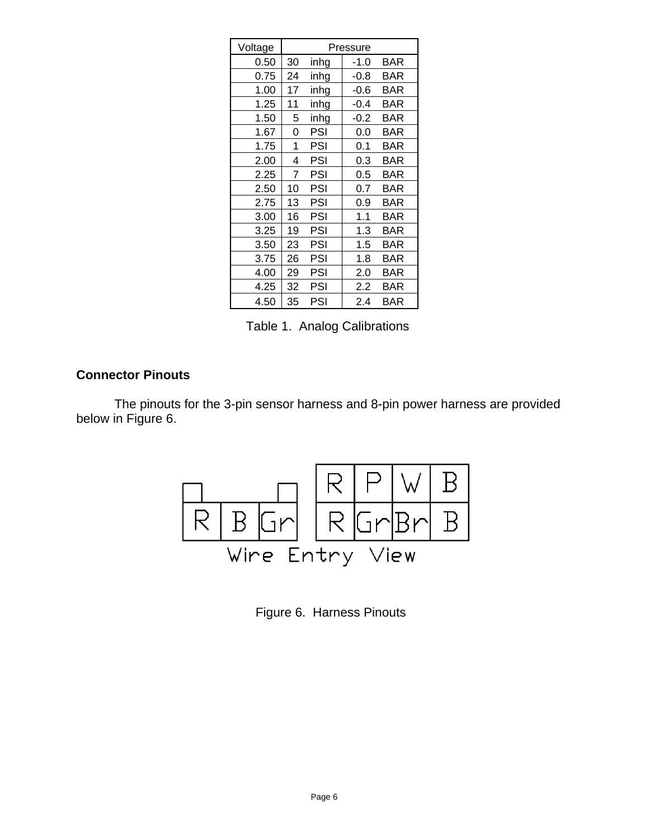| Voltage | Pressure |      |        |            |
|---------|----------|------|--------|------------|
| 0.50    | 30       | inhg | $-1.0$ | <b>BAR</b> |
| 0.75    | 24       | inhg | $-0.8$ | BAR        |
| 1.00    | 17       | inhg | $-0.6$ | BAR        |
| 1.25    | 11       | inhg | $-0.4$ | BAR        |
| 1.50    | 5        | inhg | $-0.2$ | <b>BAR</b> |
| 1.67    | 0        | PSI  | 0.0    | BAR        |
| 1.75    | 1        | PSI  | 0.1    | BAR        |
| 2.00    | 4        | PSI  | 0.3    | BAR        |
| 2.25    | 7        | PSI  | 0.5    | BAR        |
| 2.50    | 10       | PSI  | 0.7    | BAR        |
| 2.75    | 13       | PSI  | 0.9    | BAR        |
| 3.00    | 16       | PSI  | 1.1    | <b>BAR</b> |
| 3.25    | 19       | PSI  | 1.3    | BAR        |
| 3.50    | 23       | PSI  | 1.5    | BAR        |
| 3.75    | 26       | PSI  | 1.8    | BAR        |
| 4.00    | 29       | PSI  | 2.0    | <b>BAR</b> |
| 4.25    | 32       | PSI  | 2.2    | BAR        |
| 4.50    | 35       | PSI  | 2.4    | BAR        |

Table 1. Analog Calibrations

### **Connector Pinouts**

The pinouts for the 3-pin sensor harness and 8-pin power harness are provided below in Figure 6.



Figure 6. Harness Pinouts